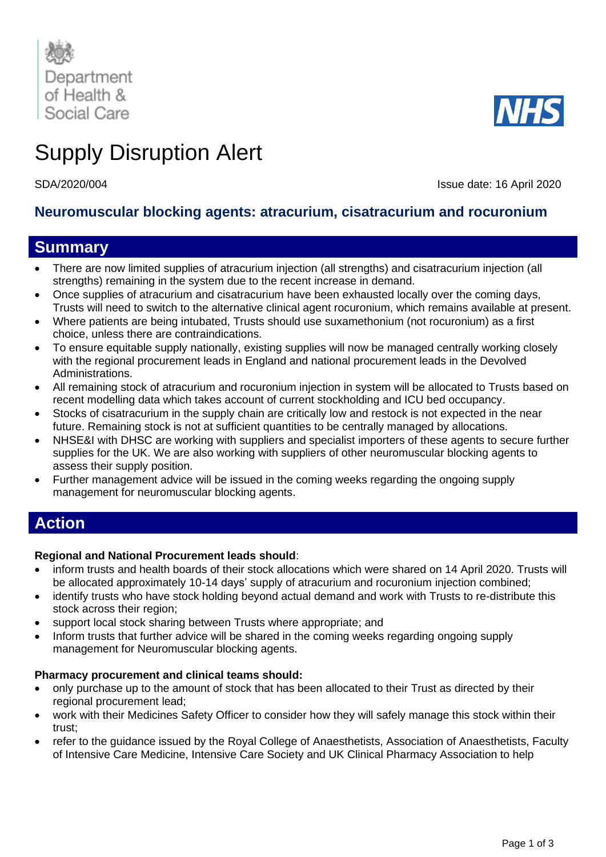

# Supply Disruption Alert

SDA/2020/004 Issue date: 16 April 2020

## **Neuromuscular blocking agents: atracurium, cisatracurium and rocuronium**

# **Summary**

- There are now limited supplies of atracurium injection (all strengths) and cisatracurium injection (all strengths) remaining in the system due to the recent increase in demand.
- Once supplies of atracurium and cisatracurium have been exhausted locally over the coming days, Trusts will need to switch to the alternative clinical agent rocuronium, which remains available at present.
- Where patients are being intubated, Trusts should use suxamethonium (not rocuronium) as a first choice, unless there are contraindications.
- To ensure equitable supply nationally, existing supplies will now be managed centrally working closely with the regional procurement leads in England and national procurement leads in the Devolved Administrations.
- All remaining stock of atracurium and rocuronium injection in system will be allocated to Trusts based on recent modelling data which takes account of current stockholding and ICU bed occupancy.
- Stocks of cisatracurium in the supply chain are critically low and restock is not expected in the near future. Remaining stock is not at sufficient quantities to be centrally managed by allocations.
- NHSE&I with DHSC are working with suppliers and specialist importers of these agents to secure further supplies for the UK. We are also working with suppliers of other neuromuscular blocking agents to assess their supply position.
- Further management advice will be issued in the coming weeks regarding the ongoing supply management for neuromuscular blocking agents.

# **Action**

### **Regional and National Procurement leads should**:

- inform trusts and health boards of their stock allocations which were shared on 14 April 2020. Trusts will be allocated approximately 10-14 days' supply of atracurium and rocuronium injection combined;
- identify trusts who have stock holding beyond actual demand and work with Trusts to re-distribute this stock across their region;
- support local stock sharing between Trusts where appropriate; and
- Inform trusts that further advice will be shared in the coming weeks regarding ongoing supply management for Neuromuscular blocking agents.

### **Pharmacy procurement and clinical teams should:**

- only purchase up to the amount of stock that has been allocated to their Trust as directed by their regional procurement lead;
- work with their Medicines Safety Officer to consider how they will safely manage this stock within their trust;
- refer to the guidance issued by the Royal College of Anaesthetists, Association of Anaesthetists, Faculty of Intensive Care Medicine, Intensive Care Society and UK Clinical Pharmacy Association to help

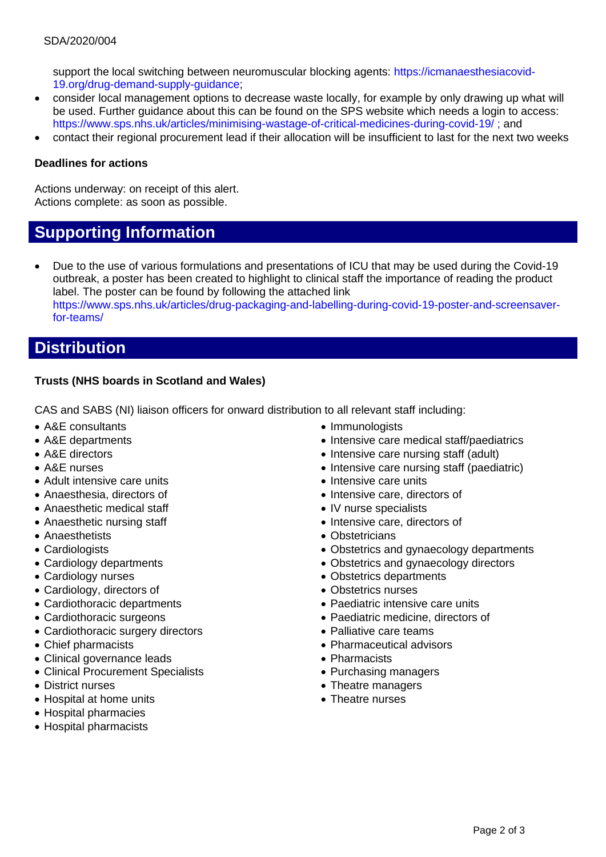#### SDA/2020/004

support the local switching between neuromuscular blocking agents: [https://icmanaesthesiacovid-](https://icmanaesthesiacovid-19.org/drug-demand-supply-guidance)[19.org/drug-demand-supply-guidance;](https://icmanaesthesiacovid-19.org/drug-demand-supply-guidance)

- consider local management options to decrease waste locally, for example by only drawing up what will be used. Further guidance about this can be found on the SPS website which needs a login to access: <https://www.sps.nhs.uk/articles/minimising-wastage-of-critical-medicines-during-covid-19/> ; and
- contact their regional procurement lead if their allocation will be insufficient to last for the next two weeks

#### **Deadlines for actions**

Actions underway: on receipt of this alert. Actions complete: as soon as possible.

# **Supporting Information**

• Due to the use of various formulations and presentations of ICU that may be used during the Covid-19 outbreak, a poster has been created to highlight to clinical staff the importance of reading the product label. The poster can be found by following the attached link [https://www.sps.nhs.uk/articles/drug-packaging-and-labelling-during-covid-19-poster-and-screensaver](https://www.sps.nhs.uk/articles/drug-packaging-and-labelling-during-covid-19-poster-and-screensaver-for-teams/)[for-teams/](https://www.sps.nhs.uk/articles/drug-packaging-and-labelling-during-covid-19-poster-and-screensaver-for-teams/)

## **Distribution**

### **Trusts (NHS boards in Scotland and Wales)**

CAS and SABS (NI) liaison officers for onward distribution to all relevant staff including:

- A&E consultants
- A&E departments
- A&E directors
- A&E nurses
- Adult intensive care units
- Anaesthesia, directors of
- Anaesthetic medical staff
- Anaesthetic nursing staff
- Anaesthetists
- Cardiologists
- Cardiology departments
- Cardiology nurses
- Cardiology, directors of
- Cardiothoracic departments
- Cardiothoracic surgeons
- Cardiothoracic surgery directors
- Chief pharmacists
- Clinical governance leads
- Clinical Procurement Specialists
- District nurses
- Hospital at home units
- Hospital pharmacies
- Hospital pharmacists
- Immunologists
- Intensive care medical staff/paediatrics
- Intensive care nursing staff (adult)
- Intensive care nursing staff (paediatric)
- Intensive care units
- Intensive care, directors of
- IV nurse specialists
- Intensive care, directors of
- Obstetricians
- Obstetrics and gynaecology departments
- Obstetrics and gynaecology directors
- Obstetrics departments
- Obstetrics nurses
- Paediatric intensive care units
- Paediatric medicine, directors of
- Palliative care teams
- Pharmaceutical advisors
- Pharmacists
- Purchasing managers
- Theatre managers
- Theatre nurses